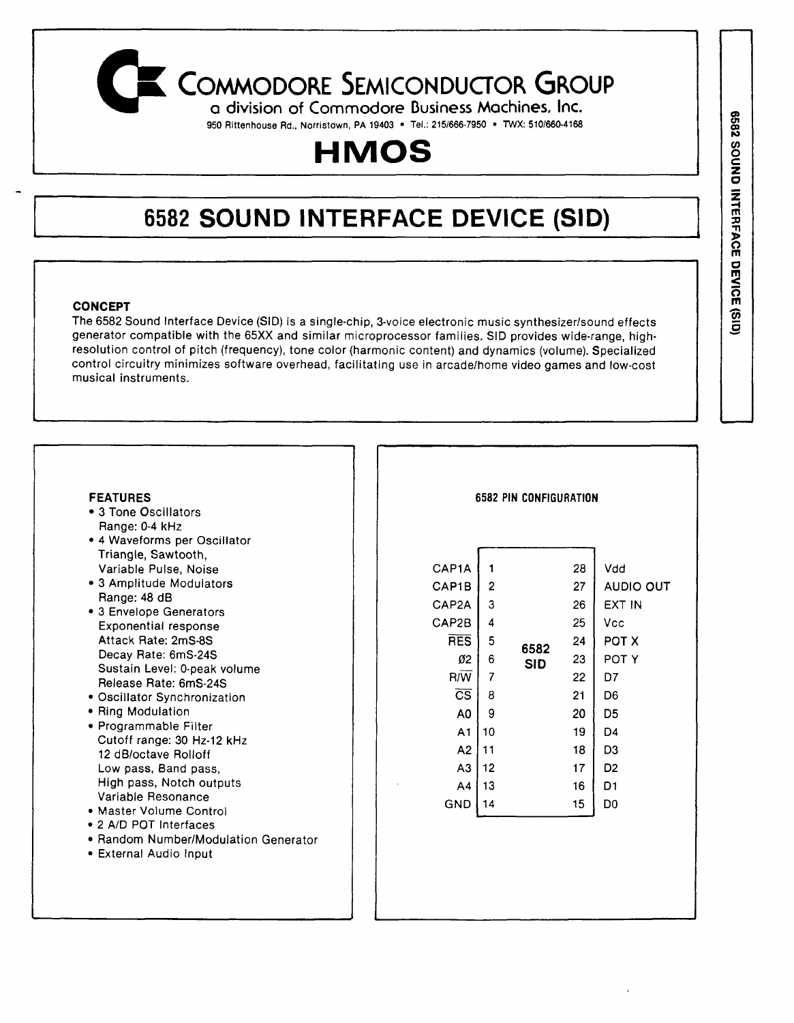## **COMMODORE SEMICONDUCTOR GROUP**

**<sup>q</sup> division of Commodore Business Machines, Inc. 950 Rittenhouse Rd., Norristown, PA 19403 • Tel.: 215/666-7950 • TWX: 510/660-4168**

# **HMOS**

## **6582 SOUND INTERFACE DEVICE (SID)**

## **CONCEPT**

*f*

The 6582 Sound Interface Device (SID) is a single-chip, 3-voice electronic music synthesizer/sound effects generator compatible with the 65XX and similar microprocessor families. SID provides wide-range, highresolution control of pitch (frequency), tone color (harmonic content) and dynamics (volume). Specialized control circuitry minimizes software overhead, facilitating use in arcade/home video games and low-cost musical instruments.

#### **FEATURES**

- 3 Tone Oscillators Range: 0-4 kHz
- 4 Waveforms per Oscillator Triangle, Sawtooth, Variable Pulse, Noise
- 3 Amplitude Modulators Range: 48 dB
- 3 Envelope Generators Exponential response Attack Rate: 2mS-8S Decay Rate: 6mS-24S Sustain Level: 0-peak volume Release Rate: 6mS-24S
- Oscillator Synchronization
- Ring Modulation
- Programmable Filter Cutoff range: 30 Hz-12 kHz 12 dB/octave Rolloff Low pass, Band pass, High pass, Notch outputs Variable Resonance
- Master Volume Control
- 2 A/D POT Interfaces
- Random Number/Modulation Generator
- External Audio Input

#### **6582 PIN CONFIGURATION**

| CAP <sub>1</sub> A     | 1  |            | 28 | Vdd            |
|------------------------|----|------------|----|----------------|
| CAP1B                  | 2  |            | 27 | AUDIO OUT      |
| CAP2A                  | 3  |            | 26 | EXT IN         |
| CAP2B                  | 4  |            | 25 | Vcc            |
| <b>RES</b>             | 5  | 6582       | 24 | POT X          |
| Ø2                     | 6  | <b>SID</b> | 23 | POT Y          |
| R/W                    | 7  |            | 22 | D7             |
| $\overline{\text{cs}}$ | 8  |            | 21 | D6             |
| A <sub>0</sub>         | 9  |            | 20 | D5             |
| A <sub>1</sub>         | 10 |            | 19 | D4             |
| A2                     | 11 |            | 18 | D3             |
| A3                     | 12 |            | 17 | D <sub>2</sub> |
| A4                     | 13 |            | 16 | D1             |
| <b>GND</b>             | 14 |            | 15 | D0             |
|                        |    |            |    |                |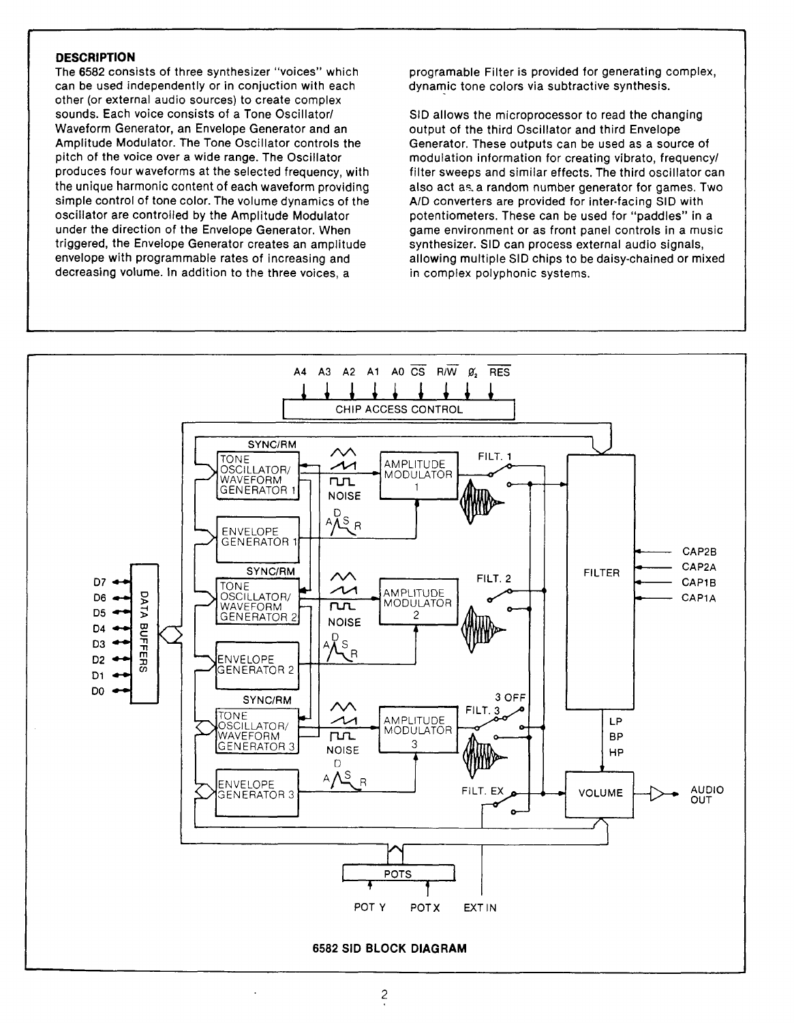#### **DESCRIPTION**

The 6582 consists of three synthesizer "voices" which can be used independently or in conjuction with each other (or external audio sources) to create complex sounds. Each voice consists of a Tone Oscillator/ Waveform Generator, an Envelope Generator and an Amplitude Modulator. The Tone Oscillator controls the pitch of the voice over a wide range. The Oscillator produces four waveforms at the selected frequency, with the unique harmonic content of each waveform providing simple control of tone color. The volume dynamics of the oscillator are controlled by the Amplitude Modulator under the direction of the Envelope Generator. When triggered, the Envelope Generator creates an amplitude envelope with programmable rates of increasing and decreasing volume. In addition to the three voices, a

programable Filter is provided for generating complex, dynamic tone colors via subtractive synthesis.

SID allows the microprocessor to read the changing output of the third Oscillator and third Envelope Generator. These outputs can be used as a source of modulation information for creating vibrato, frequency/ filter sweeps and similar effects. The third oscillator can also act as. a random number generator for games. Two A/D converters are provided for inter-facing SID with potentiometers. These can be used for "paddles" in a game environment or as front panel controls in a music synthesizer. SID can process external audio signals, allowing multiple SID chips to be daisy-chained or mixed in complex polyphonic systems.

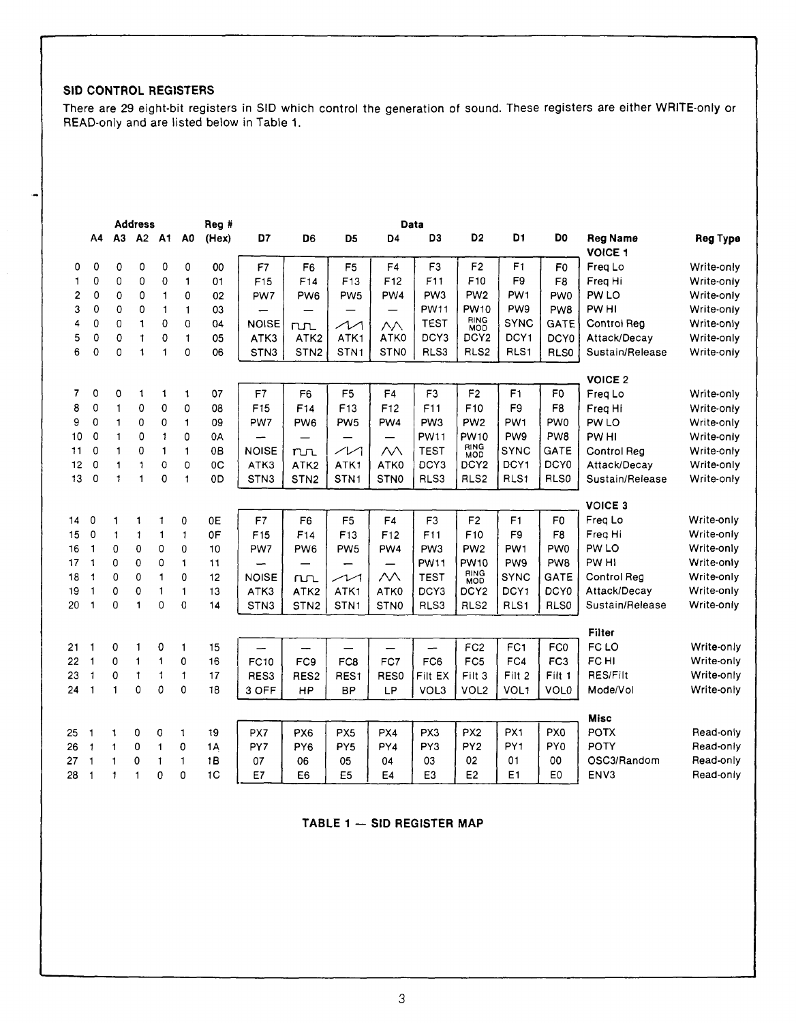## **SID CONTROL REGISTERS**

There are 29 eight-bit registers in SID which control the generation of sound. These registers are either WRITE-only or READ-only and are listed below in Table 1.

|    |              |                | <b>Address</b> |              |                | Reg #          |                  |                  |                            |                          | Data            |                    |                  |                  |                                   |            |
|----|--------------|----------------|----------------|--------------|----------------|----------------|------------------|------------------|----------------------------|--------------------------|-----------------|--------------------|------------------|------------------|-----------------------------------|------------|
|    | A4           | A3             | A2             | <b>A1</b>    | A0             | (Hex)          | D7               | D <sub>6</sub>   | D <sub>5</sub>             | D <sub>4</sub>           | D <sub>3</sub>  | D <sub>2</sub>     | D1               | D <sub>0</sub>   | <b>Reg Name</b><br><b>VOICE 1</b> | Reg Type   |
| 0  | 0            | 0              | 0              | 0            | 0              | 00             | F7               | F <sub>6</sub>   | F <sub>5</sub>             | F4                       | F <sub>3</sub>  | F <sub>2</sub>     | F <sub>1</sub>   | F0               | Freq Lo                           | Write-only |
| 1  | 0            | 0              | $\mathbf 0$    | 0            | $\mathbf{1}$   | 01             | F15              | F <sub>14</sub>  | F <sub>13</sub>            | F12                      | F11             | F <sub>10</sub>    | F <sub>9</sub>   | F <sub>8</sub>   | Freq Hi                           | Write-only |
| 2  | 0            | 0              | 0              | $\mathbf{1}$ | 0              | 02             | PW7              | PW <sub>6</sub>  | PW <sub>5</sub>            | PW4                      | PW <sub>3</sub> | PW <sub>2</sub>    | PW <sub>1</sub>  | PW <sub>0</sub>  | PW LO                             | Write-only |
| 3  | 0            | 0              | 0              | $\mathbf{1}$ | $\mathbf{1}$   | 03             |                  |                  | —                          |                          | <b>PW11</b>     | PW10               | PW9              | PW8              | PW HI                             | Write-only |
| 4  | 0            | 0              | $\mathbf{1}$   | 0            | $\mathbf 0$    | 04             | <b>NOISE</b>     | $n_{\rm L}$      | $\boldsymbol{\mathcal{M}}$ | $\wedge\wedge$           | <b>TEST</b>     | RING<br><b>MOD</b> | <b>SYNC</b>      | <b>GATE</b>      | Control Reg                       | Write-only |
| 5  | 0            | $\mathbf 0$    | $\mathbf{1}$   | 0            | $\mathbf{1}$   | 05             | ATK3             | ATK2             | ATK1                       | ATK0                     | DCY3            | DCY <sub>2</sub>   | DCY1             | DCY <sub>0</sub> | Attack/Decay                      | Write-only |
| 6  | 0            | 0              | $\mathbf{1}$   | $\mathbf{1}$ | $\mathbf 0$    | 06             | STN3             | STN <sub>2</sub> | STN <sub>1</sub>           | <b>STNO</b>              | RLS3            | RLS2               | RLS1             | RLS0             | Sustain/Release                   | Write-only |
|    |              |                |                |              |                |                |                  |                  |                            |                          |                 |                    |                  |                  | <b>VOICE 2</b>                    |            |
| 7  | $\circ$      | 0              | 1              | 1            | $\mathbf{1}$   | 07             | F7               | F <sub>6</sub>   | F <sub>5</sub>             | F4                       | F3              | F2                 | F <sub>1</sub>   | F <sub>0</sub>   | Freq Lo                           | Write-only |
| 8  | 0            | $\mathbf{1}$   | 0              | 0            | 0              | 08             | F <sub>15</sub>  | F <sub>14</sub>  | F <sub>13</sub>            | F <sub>12</sub>          | F11             | F10                | F9               | F <sub>8</sub>   | Freq Hi                           | Write-only |
| 9  | $\mathbf 0$  | $\mathbf{1}$   | 0              | 0            | $\mathbf{1}$   | 09             | PW7              | PW <sub>6</sub>  | PW <sub>5</sub>            | PW <sub>4</sub>          | PW <sub>3</sub> | PW <sub>2</sub>    | PW <sub>1</sub>  | <b>PWO</b>       | PW LO                             | Write-only |
| 10 | $\mathbf 0$  | $\mathbf{1}$   | 0              | $\mathbf{1}$ | 0              | 0А             |                  |                  | $\overline{\phantom{0}}$   | $\overline{\phantom{0}}$ | <b>PW11</b>     | <b>PW10</b>        | PW9              | PW8              | PW HI                             | Write-only |
| 11 | $\Omega$     | $\blacksquare$ | 0              | $\mathbf{1}$ | $\blacksquare$ | 0B             | <b>NOISE</b>     | $n_{\rm L}$      | $\sim$                     | $\mathcal{N}$            | <b>TEST</b>     | RING<br>MOD        | <b>SYNC</b>      | GATE             | Control Reg                       | Write-only |
| 12 | $\mathbf 0$  | $\mathbf{1}$   | $\mathbf{1}$   | 0            | 0              | 0C             | ATK3             | ATK2             | ATK1                       | ATK0                     | DCY3            | DCY <sub>2</sub>   | DCY1             | DCY0             | Attack/Decay                      | Write-only |
| 13 | $\mathbf 0$  | $\mathbf{1}$   | $\mathbf{1}$   | 0            | $\mathbf{1}$   | 0D             | STN3             | STN <sub>2</sub> | STN1                       | STN <sub>0</sub>         | RLS3            | RLS <sub>2</sub>   | RLS1             | RLS0             | Sustain/Release                   | Write-only |
|    |              |                |                |              |                |                |                  |                  |                            |                          |                 |                    |                  |                  | <b>VOICE 3</b>                    |            |
| 14 | 0            | $\mathbf{1}$   | 1              | 1            | 0              | 0E             | F7               | F <sub>6</sub>   | F <sub>5</sub>             | F4                       | F <sub>3</sub>  | F2                 | F <sub>1</sub>   | F <sub>0</sub>   | Freq Lo                           | Write-only |
| 15 | $\mathbf 0$  | $\mathbf{1}$   | 1              | 1            | $\mathbf{1}$   | 0F             | F <sub>15</sub>  | F <sub>14</sub>  | F <sub>13</sub>            | F <sub>12</sub>          | F <sub>11</sub> | F <sub>10</sub>    | F9               | F <sub>8</sub>   | Freq Hi                           | Write-only |
| 16 | 1            | 0              | 0              | 0            | 0              | 10             | PW7              | PW <sub>6</sub>  | PW <sub>5</sub>            | PW4                      | PW <sub>3</sub> | PW <sub>2</sub>    | PW <sub>1</sub>  | PW <sub>0</sub>  | PW LO                             | Write-only |
| 17 | $\mathbf{1}$ | 0              | 0              | 0            | 1              | 11             |                  |                  |                            |                          | <b>PW11</b>     | <b>PW10</b>        | PW <sub>9</sub>  | PW <sub>8</sub>  | PW HI                             | Write-only |
| 18 | $\mathbf{1}$ | 0              | $\mathbf 0$    | 1            | 0              | 12             | <b>NOISE</b>     | <b>TLM</b>       | سهر                        | $\mathcal{N}_{\lambda}$  | <b>TEST</b>     | RING<br>MOD        | <b>SYNC</b>      | <b>GATE</b>      | Control Reg                       | Write-only |
| 19 | $\mathbf{1}$ | $\mathbf 0$    | 0              | 1            | 1              | 13             | ATK3             | ATK2             | ATK1                       | ATK0                     | DCY3            | DCY <sub>2</sub>   | DCY <sub>1</sub> | DCY0             | Attack/Decay                      | Write-only |
| 20 | 1            | 0              | 1              | $\mathbf 0$  | 0              | 14             | STN <sub>3</sub> | STN <sub>2</sub> | STN <sub>1</sub>           | STN <sub>0</sub>         | RLS3            | RLS2               | RLS <sub>1</sub> | RLS0             | Sustain/Release                   | Write-only |
|    |              |                |                |              |                |                |                  |                  |                            |                          |                 |                    |                  |                  | <b>Filter</b>                     |            |
| 21 | 1            | 0              | $\mathbf{1}$   | 0            | 1              | 15             |                  |                  |                            |                          | -               | FC <sub>2</sub>    | FC <sub>1</sub>  | FC <sub>0</sub>  | FC LO                             | Write-only |
| 22 | $\mathbf{1}$ | 0              | $\mathbf{1}$   | 1            | 0              | 16             | <b>FC10</b>      | FC9              | FC8                        | FC7                      | FC6             | FC5                | FC4              | FC <sub>3</sub>  | FC HI                             | Write-only |
| 23 | $\mathbf{1}$ | 0              | $\mathbf{1}$   | 1            | $\mathbf{1}$   | 17             | RES3             | RES2             | RES1                       | RES0                     | Filt EX         | Filt 3             | Filt 2           | Filt 1           | <b>RES/Filt</b>                   | Write-only |
| 24 | $\mathbf{1}$ | $\mathbf{1}$   | $\mathbf 0$    | 0            | $\mathbf 0$    | 18             | 3 OFF            | HP               | <b>BP</b>                  | LP                       | VOL3            | VOL <sub>2</sub>   | VOL1             | <b>VOL0</b>      | Mode/Vol                          | Write-only |
|    |              |                |                |              |                |                |                  |                  |                            |                          |                 |                    |                  |                  | <b>Misc</b>                       |            |
| 25 | 1            | 1              | 0              | 0            | 1              | 19             | PX7              | PX <sub>6</sub>  | PX <sub>5</sub>            | PX4                      | PX3             | PX <sub>2</sub>    | PX <sub>1</sub>  | PX <sub>0</sub>  | <b>POTX</b>                       | Read-only  |
| 26 | $\mathbf{1}$ | $\mathbf{1}$   | 0              | $\mathbf{1}$ | 0              | 1A             | PY7              | PY <sub>6</sub>  | PY <sub>5</sub>            | PY4                      | PY3             | PY <sub>2</sub>    | PY <sub>1</sub>  | PY <sub>0</sub>  | POTY                              | Read-only  |
| 27 | $\mathbf{1}$ | $\mathbf{1}$   | 0              | $\mathbf{1}$ | $\mathbf{1}$   | 1B             | 07               | 06               | 05                         | 04                       | 03              | 02                 | 01               | 00               | OSC3/Random                       | Read-only  |
| 28 | 1            | 1              | $\mathbf{1}$   | 0            | 0              | 1 <sub>C</sub> | E7               | E <sub>6</sub>   | E <sub>5</sub>             | E4                       | E <sub>3</sub>  | E <sub>2</sub>     | E <sub>1</sub>   | E <sub>0</sub>   | ENV3                              | Read-only  |

**TABLE 1 — SID REGISTER MAP**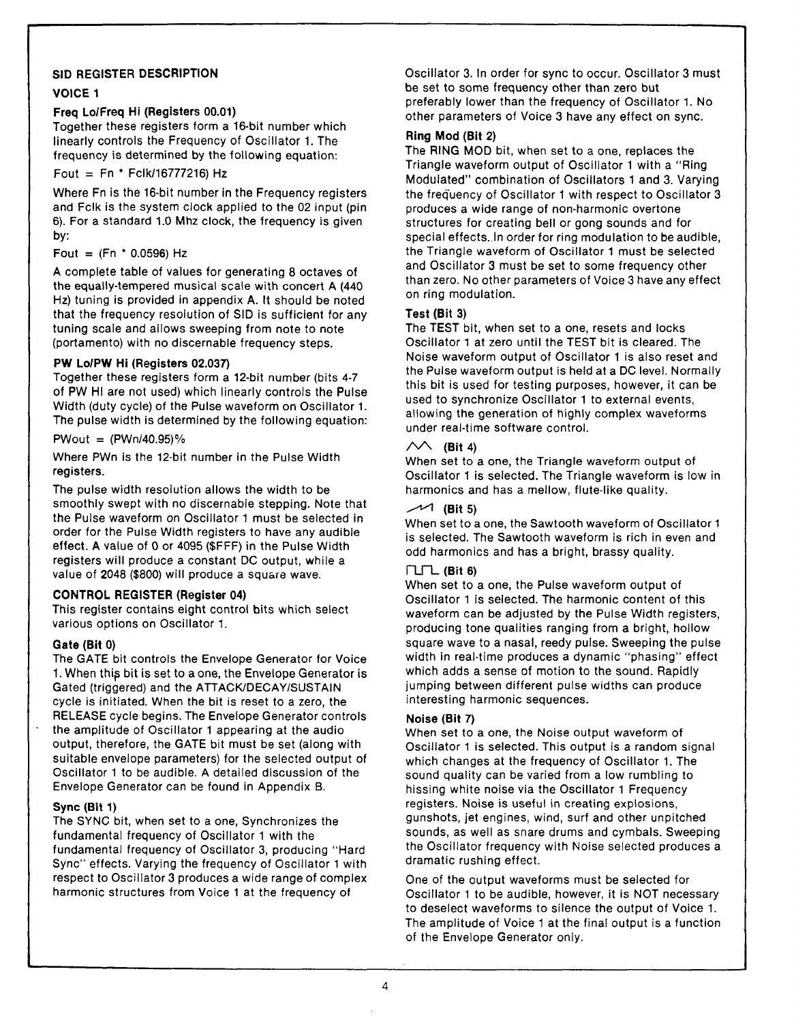## **SID REGISTER DESCRIPTION**

## **VOICE 1**

## **Freq Lo/Freq Hi (Registers 00.01)**

Together these registers form a 16-bit number which linearly controls the Frequency of Oscillator 1. The frequency is determined by the following equation:

## Fout  $=$  Fn  $*$  Fclk/16777216) Hz

Where Fn is the 16-bit number in the Frequency registers and Fclk is the system clock applied to the 02 input (pin 6). For a standard 1.0 Mhz clock, the frequency is given by:

### Fout =  $(Fn * 0.0596) Hz$

A complete table of values for generating 8 octaves of the equally-tempered musical scale with concert A (440 Hz) tuning is provided in appendix A. It should be noted that the frequency resolution of SID is sufficient for any tuning scale and allows sweeping from note to note (portamento) with no discernable frequency steps.

## **PW Lo/PW Hi (Registers 02.037)**

Together these registers form a 12-bit number (bits 4-7 of PW HI are not used) which linearly controls the Pulse Width (duty cycle) of the Pulse waveform on Oscillator 1. The pulse width is determined by the following equation:

 $PWout = (PWn/40.95)%$ 

Where PWn is the 12-bit number in the Pulse Width registers.

The pulse width resolution allows the width to be smoothly swept with no discernable stepping. Note that the Pulse waveform on Oscillator 1 must be selected in order for the Pulse Width registers to have any audible effect. A value of 0 or 4095 (\$FFF) in the Pulse Width registers will produce a constant DC output, while a value of 2048 (\$800) will produce a square wave.

#### **CONTROL REGISTER (Register 04)**

This register contains eight control bits which select various options on Oscillator 1.

#### **Gate (Bit 0)**

The GATE bit controls the Envelope Generator for Voice 1. When this bit is set to a one, the Envelope Generator is Gated (triggered) and the ATTACK/DECAY/SUSTAIN cycle is initiated. When the bit is reset to a zero, the RELEASE cycle begins. The Envelope Generator controls the amplitude of Oscillator 1 appearing at the audio output, therefore, the GATE bit must be set (along with suitable envelope parameters) for the selected output of Oscillator 1 to be audible. A detailed discussion of the Envelope Generator can be found in Appendix B.

#### **Sync (Bit 1)**

The SYNC bit, when set to a one, Synchronizes the fundamental frequency of Oscillator 1 with the fundamental frequency of Oscillator 3, producing "Hard Sync" effects. Varying the frequency of Oscillator 1 with respect to Oscillator 3 produces a wide range of complex harmonic structures from Voice 1 at the frequency of

Oscillator 3. In order for sync to occur. Oscillator 3 must be set to some frequency other than zero but preferably lower than the frequency of Oscillator 1. No other parameters of Voice 3 have any effect on sync.

## **Ring Mod (Bit 2)**

The RING MOD bit, when set to a one, replaces the Triangle waveform output of Oscillator 1 with a " Ring Modulated" combination of Oscillators 1 and 3. Varying the frequency of Oscillator 1 with respect to Oscillator 3 produces a wide range of non-harmonic overtone structures for creating bell or gong sounds and for special effects. In order for ring modulation to be audible, the Triangle waveform of Oscillator 1 must be selected and Oscillator 3 must be set to some frequency other than zero. No other parameters of Voice 3 have any effect on ring modulation.

## **Test (Bit 3)**

The TEST bit, when set to a one, resets and locks Oscillator 1 at zero until the TEST bit is cleared. The Noise waveform output of Oscillator 1 is also reset and the Pulse waveform output is held at a DC level. Normally this bit is used for testing purposes, however, it can be used to synchronize Oscillator 1 to external events, allowing the generation of highly complex waveforms under real-time software control.

## $\mathcal{N}$  (Bit 4)

When set to a one, the Triangle waveform output of Oscillator 1 is selected. The Triangle waveform is low in harmonics and has a mellow, flute-like quality.

## **(Bit 5)**

When set to a one, the Sawtooth waveform of Oscillator 1 is selected. The Sawtooth waveform is rich in even and odd harmonics and has a bright, brassy quality.

## **n \_ T L (Bit 6)**

When set to a one, the Pulse waveform output of Oscillator 1 is selected. The harmonic content of this waveform can be adjusted by the Pulse Width registers, producing tone qualities ranging from a bright, hollow square wave to a nasal, reedy pulse. Sweeping the pulse width in real-time produces a dynamic "phasing" effect which adds a sense of motion to the sound. Rapidly jumping between different pulse widths can produce interesting harmonic sequences.

## **Noise (Bit** *7)*

When set to a one, the Noise output waveform of Oscillator 1 is selected. This output is a random signal which changes at the frequency of Oscillator 1. The sound quality can be varied from a low rumbling to hissing white noise via the Oscillator 1 Frequency registers. Noise is useful in creating explosions, gunshots, jet engines, wind, surf and other unpitched sounds, as well as snare drums and cymbals. Sweeping the Oscillator frequency with Noise selected produces a dramatic rushing effect.

One of the output waveforms must be selected for Oscillator 1 to be audible, however, it is NOT necessary to deselect waveforms to silence the output of Voice 1. The amplitude of Voice 1 at the final output is a function of the Envelope Generator only.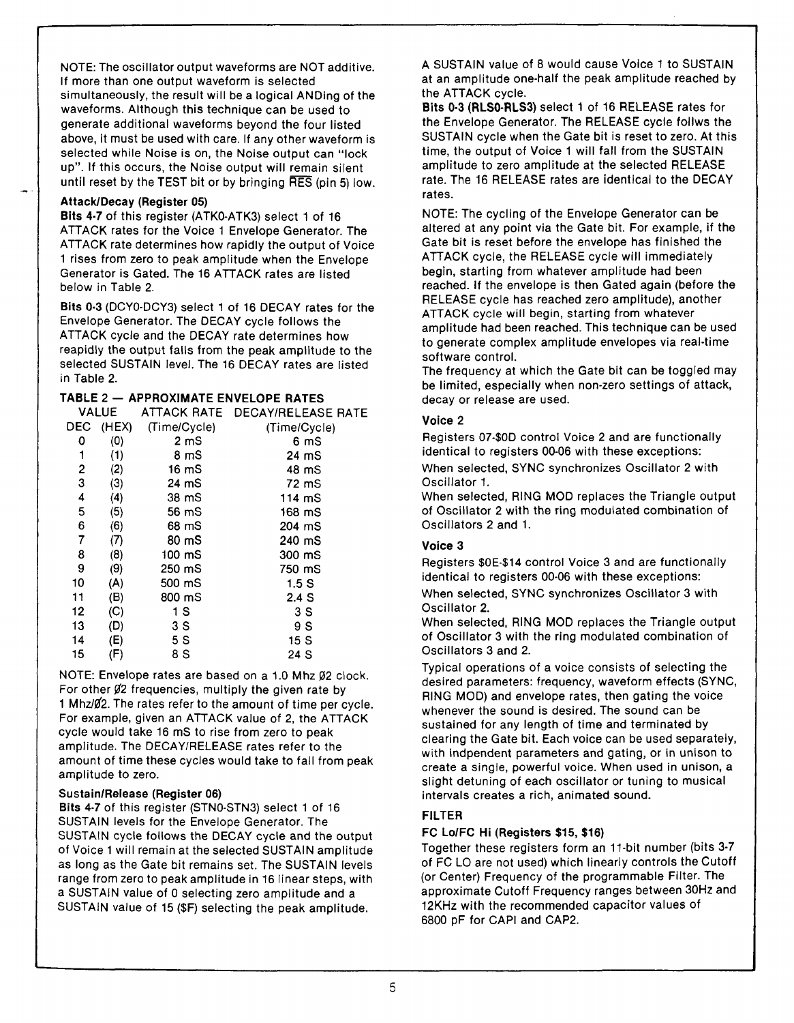NOTE: The oscillator output waveforms are NOT additive. If more than one output waveform is selected simultaneously, the result will be a logical ANDing of the waveforms. Although this technique can be used to generate additional waveforms beyond the four listed above, it must be used with care. If any other waveform is selected while Noise is on, the Noise output can "lock up". If this occurs, the Noise output will remain silent until reset by the TEST bit or by bringing RES (pin 5) low.

## **Attack/Decay (Register 05)**

**Bits 4-7** of this register (ATK0-ATK3) select **1** of **16** ATTACK rates for the Voice **1** Envelope Generator. The ATTACK rate determines how rapidly the output of Voice **1** rises from zero to peak amplitude when the Envelope Generator is Gated. The **16** ATTACK rates are listed below in Table 2.

**Bits 0-3** (DCY0-DCY3) select **1** of **16** DECAY rates for the Envelope Generator. The DECAY cycle follows the ATTACK cycle and the DECAY rate determines how reapidly the output falls from the peak amplitude to the selected SUSTAIN level. The **16** DECAY rates are listed in Table 2.

## **TABLE 2 — APPROXIMATE ENVELOPE RATES**

|    | <b>VALUE</b> |                  | ATTACK RATE DECAY/RELEASE RATE |
|----|--------------|------------------|--------------------------------|
|    | DEC (HEX)    | (Time/Cycle)     | (Time/Cycle)                   |
| 0  | (0)          | 2 <sub>m</sub>   | 6 mS                           |
| 1  | (1)          | 8 mS             | 24 mS                          |
| 2  | (2)          | 16 <sub>mg</sub> | 48 mS                          |
| 3  | (3)          | 24 mS            | 72 mS                          |
| 4  | (4)          | 38 mS            | 114 mS                         |
| 5  | (5)          | 56 mS            | 168 mS                         |
| 6  | (6)          | 68 mS            | 204 mS                         |
| 7  | (7)          | 80 mS            | 240 mS                         |
| 8  | (8)          | 100 mS           | 300 mS                         |
| 9  | (9)          | 250 mS           | 750 mS                         |
| 10 | (A)          | 500 mS           | 1.5S                           |
| 11 | (B)          | 800 mS           | 2.4S                           |
| 12 | (C)          | 1 S              | 3 S                            |
| 13 | (D)          | 3 S              | 9 S                            |
| 14 | (E)          | 5 S              | 15 S                           |
| 15 | (F)          | 8 S              | 24 S                           |
|    |              |                  |                                |

NOTE: Envelope rates are based on a 1.0 Mhz 02 clock. For other  $\cancel{02}$  frequencies, multiply the given rate by 1 Mhz/ $\cancel{02}$ . The rates refer to the amount of time per cycle. For example, given an ATTACK value of 2, the ATTACK cycle would take 16 mS to rise from zero to peak amplitude. The DECAY/RELEASE rates refer to the amount of time these cycles would take to fall from peak amplitude to zero.

#### **Sustain/Release (Register 06)**

**Bits 4-7** of this register (STN0-STN3) select 1 of 16 SUSTAIN levels for the Envelope Generator. The SUSTAIN cycle follows the DECAY cycle and the output of Voice 1 will remain at the selected SUSTAIN amplitude as long as the Gate bit remains set. The SUSTAIN levels range from zero to peak amplitude in 16 linear steps, with a SUSTAIN value of 0 selecting zero amplitude and a SUSTAIN value of 15 (\$F) selecting the peak amplitude.

A SUSTAIN value of 8 would cause Voice 1 to SUSTAIN at an amplitude one-half the peak amplitude reached by the ATTACK cycle.

**Bits 0-3 (RLS0-RLS3)** select 1 of 16 RELEASE rates for the Envelope Generator. The RELEASE cycle follws the SUSTAIN cycle when the Gate bit is reset to zero. At this time, the output of Voice 1 will fall from the SUSTAIN amplitude to zero amplitude at the selected RELEASE rate. The 16 RELEASE rates are identical to the DECAY rates.

NOTE: The cycling of the Envelope Generator can be altered at any point via the Gate bit. For example, if the Gate bit is reset before the envelope has finished the ATTACK cycle, the RELEASE cycle will immediately begin, starting from whatever amplitude had been reached. If the envelope is then Gated again (before the RELEASE cycle has reached zero amplitude), another ATTACK cycle will begin, starting from whatever amplitude had been reached. This technique can be used to generate complex amplitude envelopes via real-time software control.

The frequency at which the Gate bit can be toggled may be limited, especially when non-zero settings of attack, decay or release are used.

## **Voice 2**

Registers 07-\$0D control Voice 2 and are functionally identical to registers 00-06 with these exceptions: When selected, SYNC synchronizes Oscillator 2 with

Oscillator 1.

When selected, RING MOD replaces the Triangle output of Oscillator 2 with the ring modulated combination of O scillators 2 and 1.

## **Voice 3**

Registers \$0E-\$14 control Voice 3 and are functionally identical to registers 00-06 with these exceptions:

When selected, SYNC synchronizes Oscillator 3 with Oscillator 2.

When selected, RING MOD replaces the Triangle output of Oscillator 3 with the ring modulated combination of O scillators 3 and 2.

Typical operations of a voice consists of selecting the desired parameters: frequency, waveform effects (SYNC, RING MOD) and envelope rates, then gating the voice whenever the sound is desired. The sound can be sustained for any length of time and terminated by clearing the Gate bit. Each voice can be used separately, with indpendent parameters and gating, or in unison to create a single, powerful voice. When used in unison, a slight detuning of each oscillator or tuning to musical intervals creates a rich, animated sound.

## **FILTER**

## **FC Lo/FC Hi (Registers \$15, \$16)**

Together these registers form an 11-bit number (bits 3-7 of FC LO are not used) which linearly controls the Cutoff (or Center) Frequency of the programmable Filter. The approximate Cutoff Frequency ranges between 30Hz and 12KHz with the recommended capacitor values of 6800 pF for CAPI and CAP2.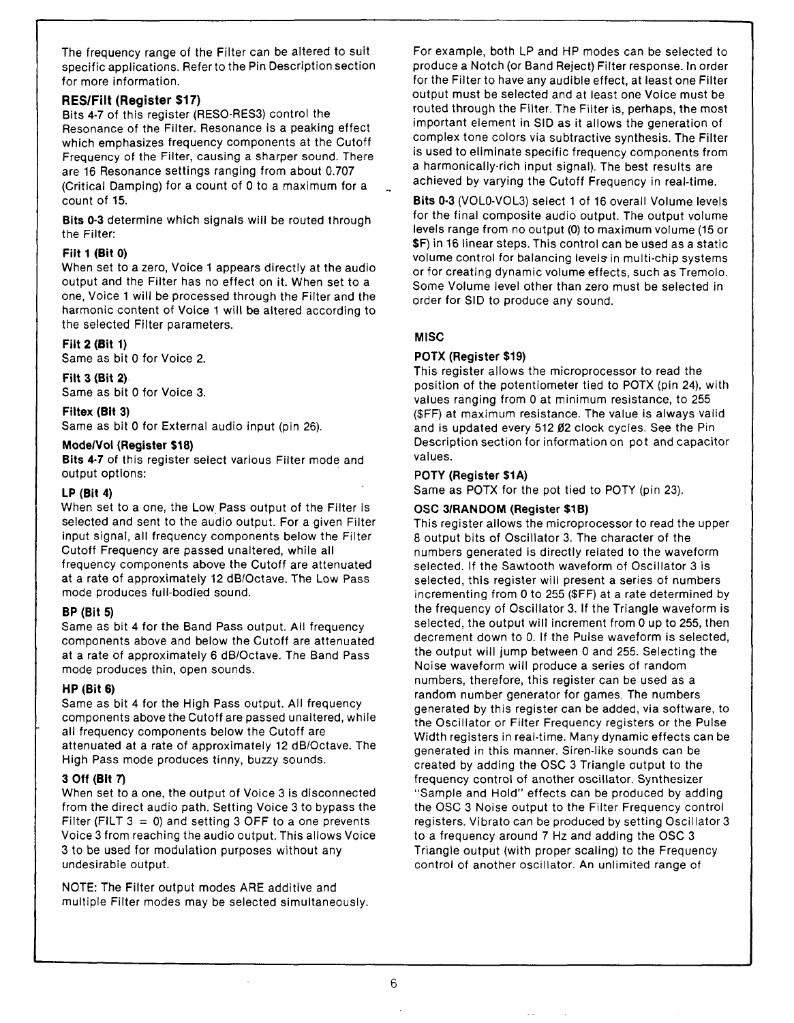The frequency range of the Filter can be altered to suit specific applications. Referto the Pin Description section for more information.

## **RES/Filt (Register \$17)**

Bits 4-7 of this register (RESO-RES3) control the Resonance of the Filter. Resonance is a peaking effect which emphasizes frequency components at the Cutoff Frequency of the Filter, causing a sharper sound. There are 16 Resonance settings ranging from about 0.707 (Critical Damping) for a count of 0 to a maximum for a count of 15.

**Bits 0-3** determine which signals will be routed through the Filter:

## **Filt 1 (Bit 0)**

When set to a zero, Voice 1 appears directly at the audio output and the Filter has no effect on it. When set to a one, Voice 1 will be processed through the Filter and the harmonic content of Voice 1 will be altered according to the selected Filter parameters.

## **Filt 2 (Bit 1)**

Same as bit 0 for Voice 2.

#### **Filt 3 (Bit 2)**

Same as bit 0 for Voice 3.

#### **Filtex (Bit 3)**

Same as bit 0 for External audio input (pin 26).

#### **Mode/Vol (Register \$18)**

**Bits 4-7** of this register select various Filter mode and output options:

#### **LP (Bit 4)**

When set to a one, the Low Pass output of the Filter is selected and sent to the audio output. For a given Filter input signal, all frequency components below the Filter Cutoff Frequency are passed unaltered, while all frequency components above the Cutoff are attenuated at a rate of approximately 12 dB/Octave. The Low Pass mode produces full-bodied sound.

#### **BP (Bit 5)**

Same as bit 4 for the Band Pass output. All frequency components above and below the Cutoff are attenuated at a rate of approximately 6 dB/Octave. The Band Pass mode produces thin, open sounds.

#### **HP (Bit 6)**

Same as bit 4 for the High Pass output. All frequency components above the Cutoff are passed unaltered, while all frequency components below the Cutoff are attenuated at a rate of approximately 12 dB/Octave. The High Pass mode produces tinny, buzzy sounds.

#### **3 Off (Bit 7)**

When set to a one, the output of Voice 3 is disconnected from the direct audio path. Setting Voice 3 to bypass the Filter (FILT  $3=0$ ) and setting 3 OFF to a one prevents Voice 3 from reaching the audio output. This allows Voice 3 to be used for modulation purposes without any undesirable output.

NOTE: The Filter output modes ARE additive and multiple Filter modes may be selected simultaneously.

For example, both LP and HP modes can be selected to produce a Notch (or Band Reject) Filter response. In order for the Filter to have any audible effect, at least one Filter output must be selected and at least one Voice must be routed through the Filter. The Filter is, perhaps, the most important element in SID as it allows the generation of complex tone colors via subtractive synthesis. The Filter is used to eliminate specific frequency components from a harmonically-rich input signal). The best results are achieved by varying the Cutoff Frequency in real-time.

**Bits 0-3** (VOLO-VOL3) select 1 of 16 overall Volume levels for the final composite audio output. The output volume levels range from no output (0) to maximum volume (15 or \$F) in 16 linear steps. This control can be used as a static volume control for balancing levels in multi-chip systems or for creating dynamic volume effects, such as Tremolo. Some Volume level other than zero must be selected in order for SID to produce any sound.

#### **MISC**

#### **POTX (Register \$19)**

This register allows the microprocessor to read the position of the potentiometer tied to POTX (pin 24), with values ranging from 0 at minimum resistance, to 255 (\$FF) at maximum resistance. The value is always valid and is updated every 512 Ø2 clock cycles. See the Pin Description section for information on pot and capacitor values.

#### **POTY (Register \$1A)**

Same as POTX for the pot tied to POTY (pin 23).

#### **OSC 3/RANDOM (Register \$1B)**

This register allows the microprocessor to read the upper 8 output bits of Oscillator 3. The character of the numbers generated is directly related to the waveform selected. If the Sawtooth waveform of Oscillator 3 is selected, this register will present a series of numbers incrementing from 0 to 255 (\$FF) at a rate determined by the frequency of Oscillator 3. If the Triangle waveform is selected, the output will increment from 0 up to 255, then decrement down to 0. If the Pulse waveform is selected, the output will jump between 0 and 255. Selecting the Noise waveform will produce a series of random numbers, therefore, this register can be used as a random number generator for games. The numbers generated by this register can be added, via software, to the Oscillator or Filter Frequency registers or the Pulse Width registers in real-time. Many dynamic effects can be generated in this manner. Siren-like sounds can be created by adding the OSC 3 Triangle output to the frequency control of another oscillator. Synthesizer "Sample and Hold" effects can be produced by adding the OSC 3 Noise output to the Filter Frequency control registers. Vibrato can be produced by setting Oscillator 3 to a frequency around 7 Hz and adding the OSC 3 Triangle output (with proper scaling) to the Frequency control of another oscillator. An unlimited range of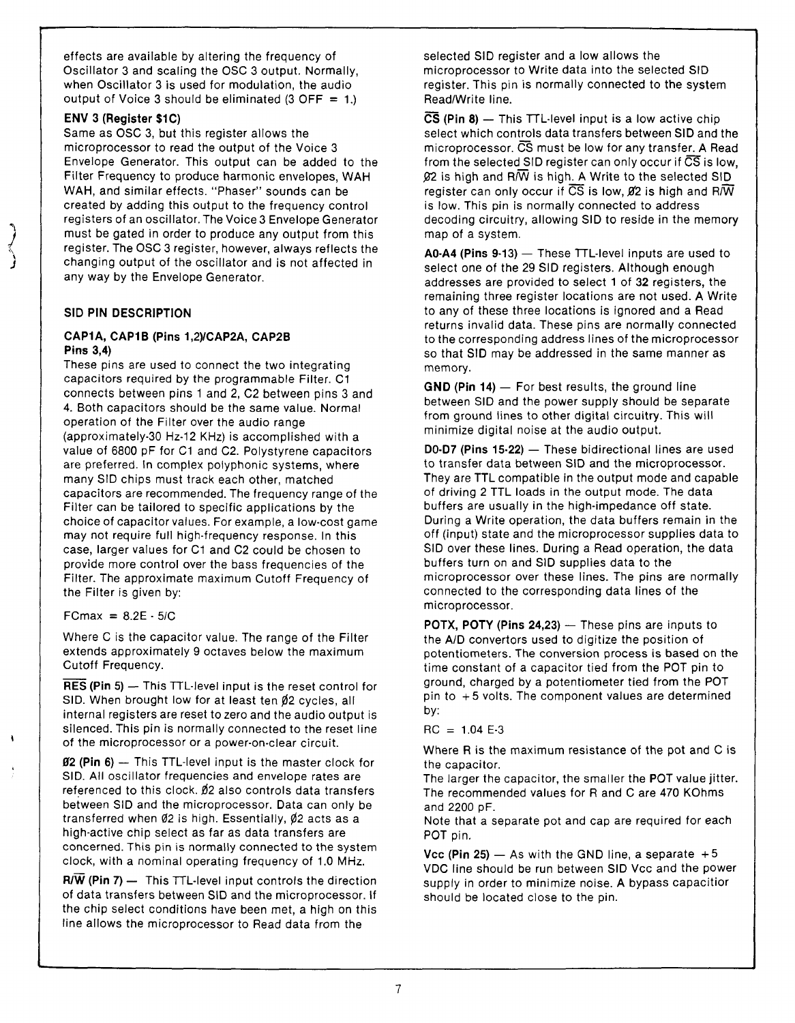effects are available by altering the frequency of Oscillator 3 and scaling the OSC 3 output. Normally, when Oscillator 3 is used for modulation, the audio output of Voice 3 should be eliminated  $(3$  OFF = 1.)

## **ENV 3 (Register \$1C)**

\*\ *J*'\\ *J*

*\*

Same as OSC 3, but this register allows the microprocessor to read the output of the Voice 3 Envelope Generator. This output can be added to the Filter Frequency to produce harmonic envelopes, WAH WAH, and similar effects. "Phaser" sounds can be created by adding this output to the frequency control registers of an oscillator. The Voice 3 Envelope Generator must be gated in order to produce any output from this register. The OSC 3 register, however, always reflects the changing output of the oscillator and is not affected in any way by the Envelope Generator.

## **SID PIN DESCRIPTION**

#### **CAP1A, CAP1B (Pins 1,2)/CAP2A, CAP2B Pins 3,4)**

These pins are used to connect the two integrating capacitors required by the programmable Filter. C1 connects between pins 1 and 2, C2 between pins 3 and 4. Both capacitors should be the same value. Normal operation of the Filter over the audio range (approximately-30 Hz-12 KHz) is accomplished with a value of 6800 pF for C1 and C2. Polystyrene capacitors are preferred. In complex polyphonic systems, where many SID chips must track each other, matched capacitors are recommended. The frequency range of the Filter can be tailored to specific applications by the choice of capacitor values. For example, a low-cost game may not require full high-frequency response. In this case, larger values for C1 and C2 could be chosen to provide more control over the bass frequencies of the Filter. The approximate maximum Cutoff Frequency of the Filter is given by:

 $FCmax = 8.2E - 5/C$ 

Where C is the capacitor value. The range of the Filter extends approximately 9 octaves below the maximum Cutoff Frequency.

**RES (Pin 5)** — This TTL-level input is the reset control for SID. When brought low for at least ten  $\not\!\!2$  cycles, all internal registers are reset to zero and the audio output is silenced. This pin is normally connected to the reset line of the microprocessor or a power-on-clear circuit.

**02 (Pin 6)** — This TTL-level input is the master clock for SID. All oscillator frequencies and envelope rates are referenced to this clock.  $0/2$  also controls data transfers between SID and the microprocessor. Data can only be transferred when  $\emptyset$ 2 is high. Essentially,  $\emptyset$ 2 acts as a high-active chip select as far as data transfers are concerned. This pin is normally connected to the system clock, with a nominal operating frequency of 1.0 MHz.

 $R/\overline{W}$  (Pin 7) — This TTL-level input controls the direction of data transfers between SID and the microprocessor. If the chip select conditions have been met, a high on this line allows the microprocessor to Read data from the

selected SID register and a low allows the microprocessor to Write data into the selected SID register. This pin is normally connected to the system Read/Write line.

**CS (Pin 8)** — This TTL-level input is a low active chip select which controls data transfers between SID and the microprocessor.  $\overline{\text{CS}}$  must be low for any transfer. A Read from the selected SID register can only occur if  $\overline{\text{CS}}$  is low,  $92$  is high and R $\overline{N}$  is high. A Write to the selected SID register can only occur if CS is low, *02* is high and R/W is low. This pin is normally connected to address decoding circuitry, allowing SID to reside in the memory map of a system.

**A0-A4 (Pins 9-13)** — These TTL-level inputs are used to select one of the 29 SID registers. Although enough addresses are provided to select 1 of 32 registers, the remaining three register locations are not used. A Write to any of these three locations is ignored and a Read returns invalid data. These pins are normally connected to the corresponding address lines of the microprocessor so that SID may be addressed in the same manner as memory.

**GND (Pin 14)** — For best results, the ground line between SID and the power supply should be separate from ground lines to other digital circuitry. This will minimize digital noise at the audio output.

**D0-D7 (Pins 15-22)** — These bidirectional lines are used to transfer data between SID and the microprocessor. They are TTL compatible in the output mode and capable of driving 2 TTL loads in the output mode. The data buffers are usually in the high-impedance off state. During a Write operation, the data buffers remain in the off (input) state and the microprocessor supplies data to SID over these lines. During a Read operation, the data buffers turn on and SID supplies data to the microprocessor over these lines. The pins are normally connected to the corresponding data lines of the microprocessor.

**POTX, POTY (Pins 24,23)** — These pins are inputs to the A/D convertors used to digitize the position of potentiometers. The conversion process is based on the time constant of a capacitor tied from the POT pin to ground, charged by a potentiometer tied from the POT pin to **+ 5** volts. The component values are determined by:

 $RC = 1.04 E-3$ 

Where R is the maximum resistance of the pot and C is the capacitor.

The larger the capacitor, the smaller the POT value jitter. The recommended values for R and C are 470 KOhms and 2200 pF.

Note that a separate pot and cap are required for each POT pin.

**Vcc (Pin 25)**  $-$  As with the GND line, a separate  $+5$ VDC line should be run between SID Vcc and the power supply in order to minimize noise. A bypass capacitior should be located close to the pin.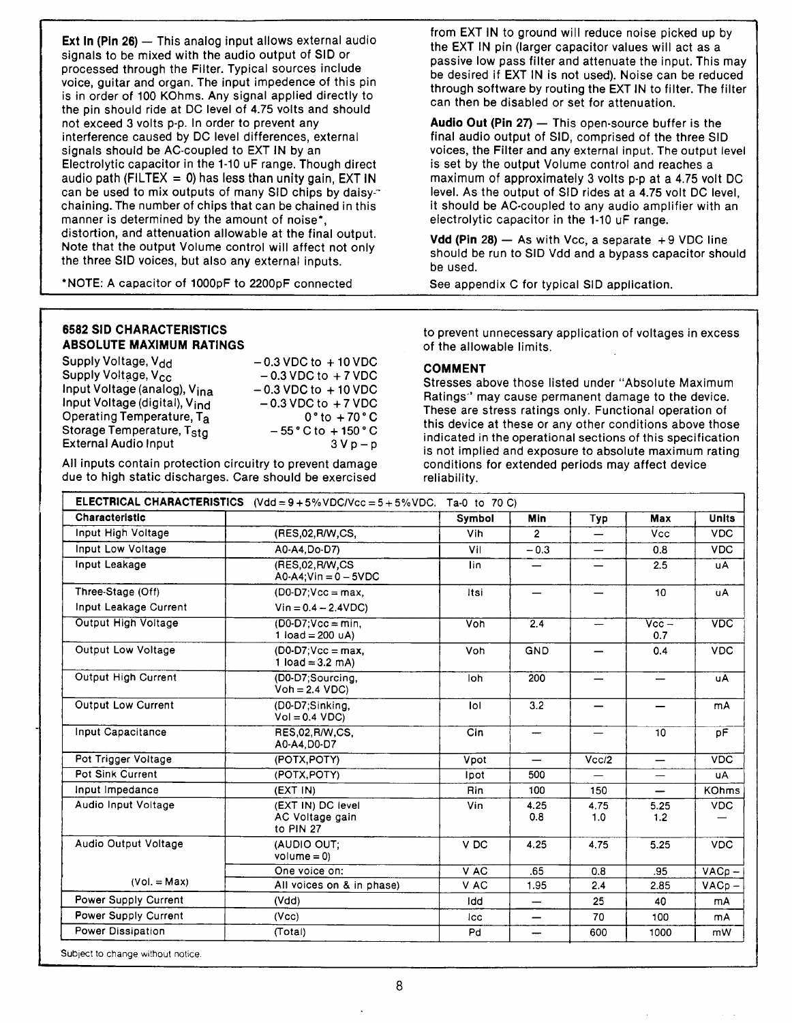**Ext In (Pin 26)** — This analog input allows external audio signals to be mixed with the audio output of SID or processed through the Filter. Typical sources include voice, guitar and organ. The input impedence of this pin is in order of 100 KOhms. Any signal applied directly to the pin should ride at DC level of 4.75 volts and should not exceed 3 volts p-p. In order to prevent any interference caused by DC level differences, external signals should be AC-coupled to EXT IN by an Electrolytic capacitor in the 1-10 uF range. Though direct audio path (FILTEX =  $0$ ) has less than unity gain, EXT IN can be used to mix outputs of many SID chips by daisy-" chaining. The number of chips that can be chained in this manner is determined by the amount of noise\*, distortion, and attenuation allowable at the final output. Note that the output Volume control will affect not only the three SID voices, but also any external inputs.

' NOTE: A capacitor of 1000pF to 2200pF connected

**6582 SID CHARACTERISTICS ABSOLUTE MAXIMUM RATINGS**

| Supply Voltage, V <sub>dd</sub>           | $-0.3$ VDC to $+10$ VDC             |
|-------------------------------------------|-------------------------------------|
| Supply Voltage, V <sub>cc</sub>           | $-0.3$ VDC to $+7$ VDC              |
| Input Voltage (analog), V <sub>ina</sub>  | $-0.3$ VDC to $+10$ VDC             |
| Input Voltage (digital), V <sub>ind</sub> | $-0.3$ VDC to $+7$ VDC              |
| Operating Temperature, Ta                 | $0^{\circ}$ to $+70^{\circ}$ C      |
| Storage Temperature, T <sub>Sta</sub>     | $-55^{\circ}$ C to $+150^{\circ}$ C |
| <b>External Audio Input</b>               | $3Vp-p$                             |
|                                           |                                     |

All inputs contain protection circuitry to prevent damage due to high static discharges. Care should be exercised from EXT IN to ground will reduce noise picked up by the EXT IN pin (larger capacitor values will act as a passive low pass filter and attenuate the input. This may be desired if EXT IN is not used). Noise can be reduced through software by routing the EXT IN to filter. The filter can then be disabled or set for attenuation.

**Audio Out (Pin 27)** — This open-source buffer is the final audio output of SID, comprised of the three SID voices, the Filter and any external input. The output level is set by the output Volume control and reaches a maximum of approximately 3 volts p-p at a 4.75 volt DC level. As the output of SID rides at a 4.75 volt DC level, it should be AC-coupled to any audio amplifier with an electrolytic capacitor in the 1-10 uF range.

**Vdd (Pin 28)** — As with Vcc, a separate **+ 9** VDC line should be run to SID Vdd and a bypass capacitor should be used.

See appendix C for typical SID application.

to prevent unnecessary application of voltages in excess of the allowable limits.

#### **COMMENT**

Stresses above those listed under " Absolute Maximum Ratings" may cause permanent damage to the device. These are stress ratings only. Functional operation of this device at these or any other conditions above those indicated in the operational sections of this specification is not implied and exposure to absolute maximum rating conditions for extended periods may affect device reliability.

| <b>Characteristic</b>                                       |                                                   | Symbol          | Min                      | Typ         | Max                              | <b>Units</b> |
|-------------------------------------------------------------|---------------------------------------------------|-----------------|--------------------------|-------------|----------------------------------|--------------|
| Input High Voltage                                          | (RES.02, R/W, CS,                                 | Vih             | $\overline{2}$           | —           | Vcc                              | <b>VDC</b>   |
| Input Low Voltage                                           | A0-A4.Do-D7)                                      | Vil             | $-0.3$                   |             | 0.8                              | <b>VDC</b>   |
| Input Leakage<br>(RES.02.R/W.CS<br>$AO-A4$ ; Vin = 0 - 5VDC |                                                   | lin.            |                          |             | 2.5                              | <b>uA</b>    |
| Three-Stage (Off)                                           | $(D0-D7; \text{Vcc} = \text{max})$                | Itsi            | $\overline{\phantom{0}}$ |             | 10 <sup>10</sup>                 | <b>uA</b>    |
| Input Leakage Current                                       | $Vin = 0.4 - 2.4VDC$                              |                 |                          |             |                                  |              |
| Output High Voltage                                         | $(D0-D7:Vec = min.$<br>1 $load = 200 uA$          | Voh             | 2.4                      |             | $\overline{\text{Vec}}$ –<br>0.7 | <b>VDC</b>   |
| Output Low Voltage                                          | $(DO-D7; Vcc = max,$<br>1 $load = 3.2$ mA)        | Voh             | <b>GND</b>               |             | 0.4                              | <b>VDC</b>   |
| Output High Current                                         | (D0-D7;Sourcing,<br>$Voh = 2.4 VDC$               | loh             | 200                      |             | $\overline{\phantom{0}}$         | <b>uA</b>    |
| <b>Output Low Current</b>                                   | (D0-D7;Sinking,<br>$Vol = 0.4 VDC$                | lol             | 3.2                      |             | —                                | mA           |
| Input Capacitance                                           | RES,02, R/W,CS,<br>A0-A4, D0-D7                   | Cin             | -                        |             | 10                               | pF           |
| Pot Trigger Voltage                                         | (POTX, POTY)                                      | Vpot            | $\overline{\phantom{0}}$ | Vcc/2       |                                  | <b>VDC</b>   |
| Pot Sink Current                                            | (POTX, POTY)                                      | Ipot            | 500                      |             | $\overline{\phantom{0}}$         | <b>uA</b>    |
| Input Impedance                                             | (EXT IN)                                          | Rin             | 100                      | 150         |                                  | <b>KOhms</b> |
| Audio Input Voltage                                         | (EXT IN) DC level<br>AC Voltage gain<br>to PIN 27 | Vin             | 4.25<br>0.8              | 4.75<br>1.0 | 5.25<br>1.2                      | <b>VDC</b>   |
| Audio Output Voltage                                        | (AUDIO OUT:<br>$volume = 0$                       | V <sub>DC</sub> | 4.25                     | 4.75        | 5.25                             | <b>VDC</b>   |
|                                                             | One voice on:                                     | VAC             | .65                      | 0.8         | .95                              | $VACp -$     |
| $(Vol. = Max)$                                              | All voices on & in phase)                         | V AC            | 1.95                     | 2.4         | 2.85                             | $VACp -$     |
| Power Supply Current                                        | (Vdd)                                             | Idd             |                          | 25          | 40                               | mA           |
| Power Supply Current                                        | (Vcc)                                             | <b>Icc</b>      | $\overline{\phantom{0}}$ | 70          | 100                              | mA           |
| Power Dissipation                                           | (Total)                                           | Pd              |                          | 600         | 1000                             | mW.          |

Subject to change without notice.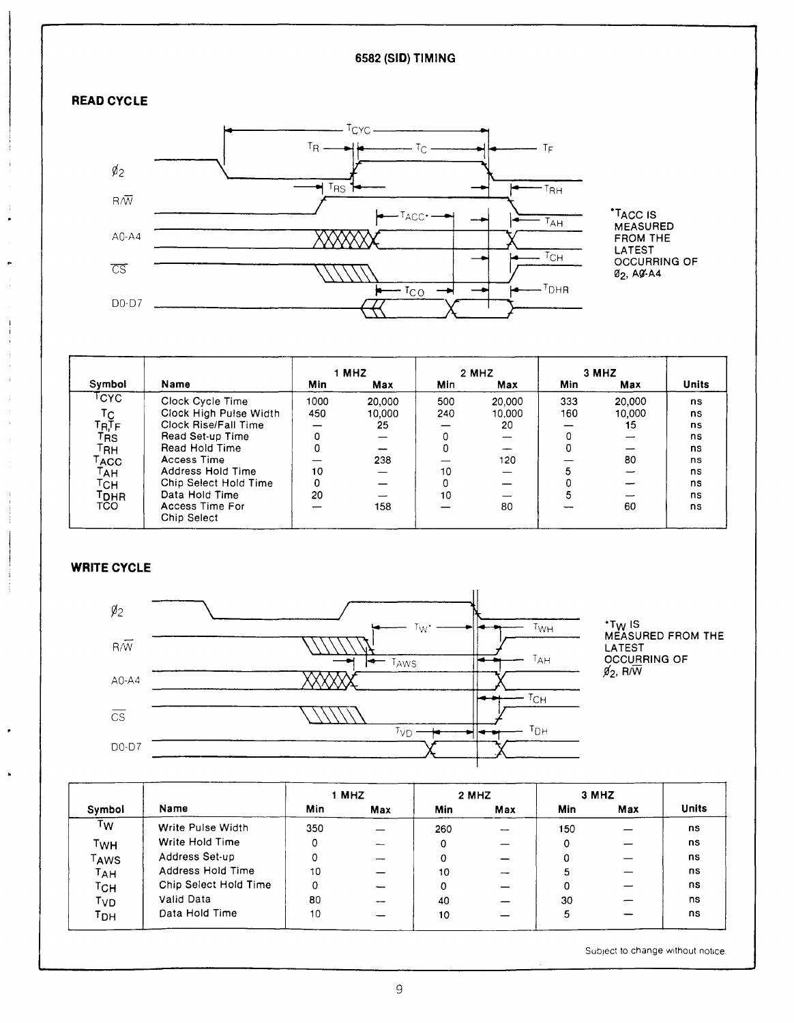## **6582 (SID) TIMING**



.

 $\mathbf{I}$ j

 $\cdot$ 

 $\ddot{\phantom{0}}$ 



\*Ta c c is MEASURED FROM THE LATEST OCCURRING OF 02> A0-A4

|                                   |                                |            | 1 MHZ  |     | 2 MHZ  |     | 3 MHZ  |              |
|-----------------------------------|--------------------------------|------------|--------|-----|--------|-----|--------|--------------|
| Symbol                            | Name                           | <b>Min</b> | Max    | Min | Max    | Min | Max    | <b>Units</b> |
| Гсүс                              | Clock Cycle Time               | 1000       | 20,000 | 500 | 20,000 | 333 | 20,000 | ns           |
| $T_{R,\overline{\Gamma}_{F}}^{C}$ | Clock High Pulse Width         | 450        | 10,000 | 240 | 10.000 | 160 | 10,000 | ns           |
|                                   | Clock Rise/Fall Time           |            | 25     |     | 20     |     | 15     | ns           |
| <b>TRS</b>                        | Read Set-up Time               | U          |        |     |        |     |        | ns           |
| Гвн                               | Read Hold Time                 |            |        | 0   |        | 0   |        | ns           |
| ACC                               | Access Time                    |            | 238    |     | 120    |     | 80     | ns           |
| 「АН                               | Address Hold Time              | 10         |        | 10  |        |     |        | ns           |
| Гсн                               | Chip Select Hold Time          |            |        |     |        |     |        | ns           |
| Tоня                              | Data Hold Time                 | 20         |        | 10  |        |     |        | ns           |
| <b>TCO</b>                        | Access Time For<br>Chip Select |            | 158    |     | 80     |     | 60     | ns           |

## **WRITE CYCLE**



|        |                       | 1 MHZ |     | 2 MHZ |                          | 3 MHZ |     |              |  |
|--------|-----------------------|-------|-----|-------|--------------------------|-------|-----|--------------|--|
| Symbol | Name                  | Min   | Max | Min   | Max                      | Min   | Max | <b>Units</b> |  |
| Tw     | Write Pulse Width     | 350   |     | 260   | $\overline{\phantom{a}}$ | 150   |     | ns           |  |
| TwH    | Write Hold Time       | 0     |     | 0     |                          |       |     | ns           |  |
| TAWS   | Address Set-up        |       |     | 0     |                          |       |     | ns           |  |
| TAH    | Address Hold Time     | 10    |     | 10    |                          | 5     |     | ns           |  |
| Тсн    | Chip Select Hold Time | 0     |     | 0     |                          | 0     |     | ns           |  |
| TVD    | Valid Data            | 80    |     | 40    |                          | 30    |     | ns           |  |
| трн    | Data Hold Time        | 10    |     | 10    |                          | 5     |     | ns           |  |

Subject to change without notice.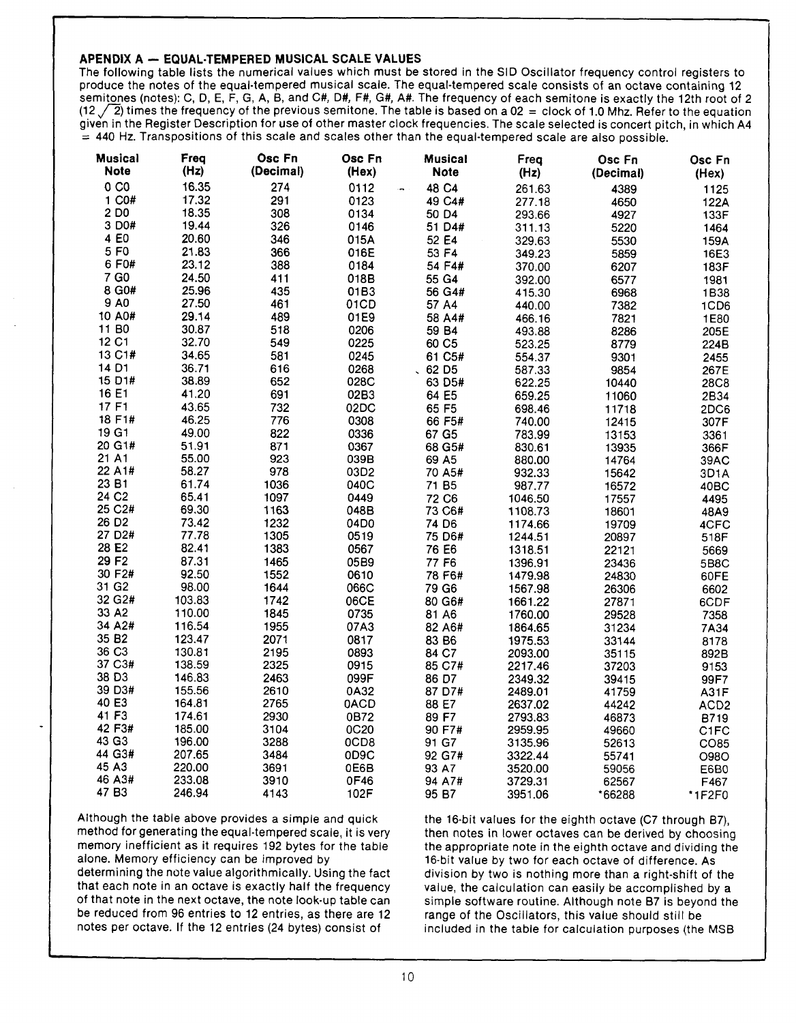## **APENDIX A - EQUAL-TEMPERED MUSICAL SCALE VALUES**

The following table lists the numerical values which must be stored in the SID Oscillator frequency control registers to produce the notes of the equal-tempered musical scale. The equal-tempered scale consists of an octave containing 12 semitones (notes): C, D, E, F, G, A, B, and C#, D#, F#, G#, A#. The frequency of each semitone is exactly the 12th root of 2  $(12 \sqrt{2})$  times the frequency of the previous semitone. The table is based on a 02 = clock of 1.0 Mhz. Refer to the equation given in the Register Description for use of other master clock frequencies. The scale selected is concert pitch, in which A4  $=$  440 Hz. Transpositions of this scale and scales other than the equal-tempered scale are also possible.

| <b>Musical</b>      | Freq   | Osc Fn    | Osc Fn | <b>Musical</b>        | Freq    | Osc Fn    | Osc Fn           |
|---------------------|--------|-----------|--------|-----------------------|---------|-----------|------------------|
| <b>Note</b>         | (Hz)   | (Decimal) | (Hex)  | <b>Note</b>           | (Hz)    | (Decimal) | (Hex)            |
| 0 <sub>C0</sub>     | 16.35  | 274       | 0112   | 48 C4                 | 261.63  | 4389      | 1125             |
| 1 C0#               | 17.32  | 291       | 0123   | 49 C4#                | 277.18  | 4650      | 122A             |
| 2 D <sub>0</sub>    | 18.35  | 308       | 0134   | 50 D4                 | 293.66  | 4927      | 133F             |
| 3 D <sub>0</sub> #  | 19.44  | 326       | 0146   | 51 D4#                | 311.13  | 5220      | 1464             |
| 4 E <sub>0</sub>    | 20.60  | 346       | 015A   | 52 E4                 | 329.63  | 5530      | 159A             |
| 5 F <sub>0</sub>    | 21.83  | 366       | 016E   | 53 F4                 | 349.23  | 5859      | 16E3             |
| 6 F0#               | 23.12  | 388       | 0184   | 54 F4#                | 370.00  | 6207      | 183F             |
| 7 G0                | 24.50  | 411       | 018B   | 55 G4                 | 392.00  | 6577      | 1981             |
| 8 G0#               | 25.96  | 435       | 01B3   | 56 G4#                | 415.30  | 6968      | 1B38             |
| 9 AO                | 27.50  | 461       | 01CD   | 57 A4                 | 440.00  | 7382      | 1CD6             |
| 10 A0#              | 29.14  | 489       | 01E9   | 58 A4#                | 466.16  | 7821      | 1E80             |
| 11 B <sub>0</sub>   | 30.87  | 518       | 0206   | 59 B4                 | 493.88  | 8286      | 205E             |
| 12 C1               | 32.70  | 549       | 0225   | 60 C5                 | 523.25  | 8779      | 224B             |
| 13 C1#              | 34.65  | 581       | 0245   | 61 C5#                | 554.37  | 9301      | 2455             |
| 14 D1               | 36.71  | 616       | 0268   | $0.62$ D <sub>5</sub> | 587.33  | 9854      | 267E             |
| 15 D1#              | 38.89  | 652       | 028C   | 63 D5#                | 622.25  | 10440     | <b>28C8</b>      |
| 16 E1               | 41.20  | 691       | 02B3   | 64 E5                 | 659.25  | 11060     | 2B34             |
| 17 F1               | 43.65  | 732       | 02DC   | 65 F5                 | 698.46  | 11718     | 2DC6             |
| 18 F1#              | 46.25  | 776       | 0308   | 66 F5#                | 740.00  | 12415     | 307F             |
| 19 G1               | 49.00  | 822       | 0336   | 67 G5                 | 783.99  | 13153     | 3361             |
| 20 G1#              | 51.91  | 871       | 0367   | 68 G5#                | 830.61  | 13935     | 366F             |
| 21 A1               | 55.00  | 923       | 039B   | 69 A5                 | 880.00  | 14764     | 39AC             |
| 22 A1#              | 58.27  | 978       | 03D2   | 70 A5#                | 932.33  | 15642     | 3D1A             |
| 23 B1               | 61.74  | 1036      | 040C   | 71 B <sub>5</sub>     | 987.77  | 16572     | 40BC             |
| 24 C <sub>2</sub>   | 65.41  | 1097      | 0449   | 72 C6                 | 1046.50 | 17557     | 4495             |
| 25 C2#              | 69.30  | 1163      | 048B   | 73 C6#                | 1108.73 | 18601     | 48A9             |
| 26 D <sub>2</sub>   | 73.42  | 1232      | 04D0   | 74 D6                 | 1174.66 | 19709     | 4CFC             |
| 27 D <sub>2</sub> # | 77.78  | 1305      | 0519   | 75 D6#                | 1244.51 | 20897     | 518F             |
| 28 E2               | 82.41  | 1383      | 0567   | 76 E6                 | 1318.51 | 22121     | 5669             |
| 29 F <sub>2</sub>   | 87.31  | 1465      | 05B9   | 77 F6                 | 1396.91 | 23436     | 5B8C             |
| 30 F2#              | 92.50  | 1552      | 0610   | 78 F6#                | 1479.98 | 24830     | 60FE             |
| 31 G <sub>2</sub>   | 98.00  | 1644      | 066C   | 79 G6                 | 1567.98 | 26306     | 6602             |
| 32 G2#              | 103.83 | 1742      | 06CE   | 80 G6#                | 1661.22 | 27871     | 6CDF             |
| 33 A2               | 110.00 | 1845      | 0735   | 81 A6                 | 1760.00 | 29528     | 7358             |
| 34 A2#              | 116.54 | 1955      | 07A3   | 82 A6#                | 1864.65 | 31234     | 7A34             |
| 35 B <sub>2</sub>   | 123.47 | 2071      | 0817   | 83 B6                 | 1975.53 | 33144     | 8178             |
| 36 C <sub>3</sub>   | 130.81 | 2195      | 0893   | 84 C7                 | 2093.00 | 35115     | 892B             |
| 37 C3#              | 138.59 | 2325      | 0915   | 85 C7#                | 2217.46 | 37203     | 9153             |
| 38 D3               | 146.83 | 2463      | 099F   | 86 D7                 | 2349.32 | 39415     | 99F7             |
| 39 D3#              | 155.56 | 2610      | 0A32   | 87 D7#                | 2489.01 | 41759     | <b>A31F</b>      |
| 40 E3               | 164.81 | 2765      | 0ACD   | 88 E7                 | 2637.02 | 44242     | ACD <sub>2</sub> |
| 41 F3               | 174.61 | 2930      | 0B72   | 89 F7                 | 2793.83 | 46873     | B719             |
| 42 F3#              | 185.00 | 3104      | 0C20   | 90 F7#                | 2959.95 | 49660     | C1FC             |
| 43 G3               | 196.00 | 3288      | 0CD8   | 91 G7                 | 3135.96 | 52613     | CO85             |
| 44 G3#              | 207.65 | 3484      | 0D9C   | 92 G7#                | 3322.44 | 55741     | <b>O98O</b>      |
| 45 A3               | 220.00 | 3691      | 0E6B   | 93 A7                 | 3520.00 | 59056     | E6B0             |
| 46 A3#              | 233.08 | 3910      | 0F46   | 94 A7#                | 3729.31 | 62567     | F467             |
| 47 B <sub>3</sub>   | 246.94 | 4143      | 102F   | 95 B7                 | 3951.06 | *66288    | *1F2F0           |

Although the table above provides a simple and quick method for generating the equal-tempered scale, it is very memory inefficient as it requires 192 bytes for the table alone. Memory efficiency can be improved by

determining the note value algorithmically. Using the fact that each note in an octave is exactly half the frequency of that note in the next octave, the note look-up table can be reduced from 96 entries to 12 entries, as there are 12 notes per octave. If the 12 entries (24 bytes) consist of

the 16-bit values for the eighth octave (C7 through B7), then notes in lower octaves can be derived by choosing the appropriate note in the eighth octave and dividing the 16-bit value by two for each octave of difference. As division by two is nothing more than a right-shift of the value, the calculation can easily be accomplished by a simple software routine. Although note B7 is beyond the range of the Oscillators, this value should still be included in the table for calculation purposes (the MSB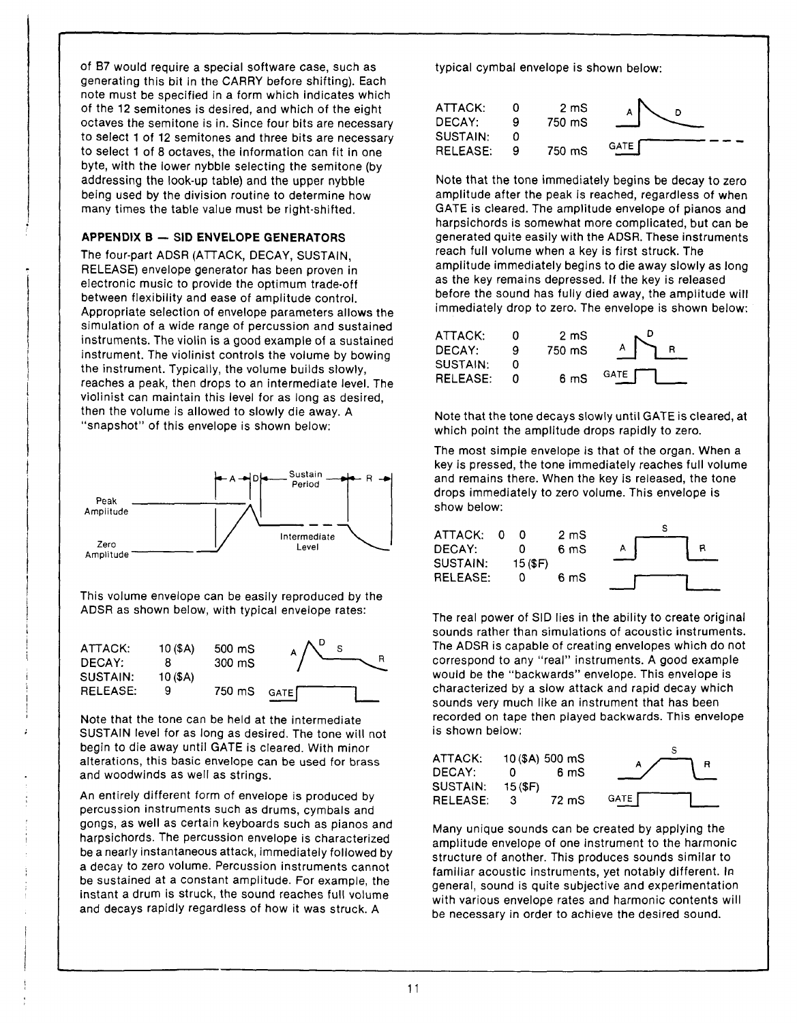of B7 would require a special software case, such as generating this bit in the CARRY before shifting). Each note must be specified in a form which indicates which of the 12 semitones is desired, and which of the eight octaves the semitone is in. Since four bits are necessary to select 1 of 12 semitones and three bits are necessary to select 1 of 8 octaves, the information can fit in one byte, with the lower nybble selecting the semitone (by addressing the look-up table) and the upper nybble being used by the division routine to determine how many times the table value must be right-shifted.

## **APPENDIX B — SID ENVELOPE GENERATORS**

The four-part ADSR (ATTACK, DECAY, SUSTAIN, RELEASE) envelope generator has been proven in electronic music to provide the optimum trade-off between flexibility and ease of amplitude control. Appropriate selection of envelope parameters allows the simulation of a wide range of percussion and sustained instruments. The violin is a good example of a sustained instrument. The violinist controls the volume by bowing the instrument. Typically, the volume builds slowly, reaches a peak, then drops to an intermediate level. The violinist can maintain this level for as long as desired, then the volume is allowed to slowly die away. A " snapshot" of this envelope is shown below:



This volume envelope can be easily reproduced by the ADSR as shown below, with typical envelope rates:

| ATTACK:<br>DECAY: | 10 (\$A) | $500 \text{ ms}$<br>$300 \text{ ms}$ |  |
|-------------------|----------|--------------------------------------|--|
| SUSTAIN:          | 10(3A)   |                                      |  |
| RELEASE:          | a        | 750 mS GATE                          |  |

Note that the tone can be held at the intermediate SUSTAIN level for as long as desired. The tone will not begin to die away until GATE is cleared. With minor alterations, this basic envelope can be used for brass and woodwinds as well as strings.

An entirely different form of envelope is produced by percussion instruments such as drums, cymbals and gongs, as well as certain keyboards such as pianos and harpsichords. The percussion envelope is characterized be a nearly instantaneous attack, immediately followed by a decay to zero volume. Percussion instruments cannot be sustained at a constant amplitude. For example, the instant a drum is struck, the sound reaches full volume and decays rapidly regardless of how it was struck. A

typical cymbal envelope is shown below:



Note that the tone immediately begins be decay to zero amplitude after the peak is reached, regardless of when GATE is cleared. The amplitude envelope of pianos and harpsichords is somewhat more complicated, but can be generated quite easily with the ADSR. These instruments reach full volume when a key is first struck. The amplitude immediately begins to die away slowly as long as the key remains depressed. If the key is released before the sound has fully died away, the amplitude will immediately drop to zero. The envelope is shown below:

| ATTACK:  |   | $2 \text{ mS}$  |      |
|----------|---|-----------------|------|
| DECAY:   | Q | 750 mS          |      |
| SUSTAIN: |   |                 |      |
| RELEASE: |   | 6 <sub>ms</sub> | GATE |

Note that the tone decays slowly until GATE is cleared, at which point the amplitude drops rapidly to zero.

The most simple envelope is that of the organ. When a key is pressed, the tone immediately reaches full volume and remains there. When the key is released, the tone drops immediately to zero volume. This envelope is show below:

| ATTACK:  | - റ |            | 2 <sub>m</sub> S |   |  |
|----------|-----|------------|------------------|---|--|
| DECAY:   |     |            | 6 mS             | А |  |
| SUSTAIN: |     | $15($ \$F) |                  |   |  |
| RELEASE: |     |            | 6 mS             |   |  |
|          |     |            |                  |   |  |

The real power of SID lies in the ability to create original sounds rather than simulations of acoustic instruments. The ADSR is capable of creating envelopes which do not correspond to any "real" instruments. A good example would be the "backwards" envelope. This envelope is characterized by a slow attack and rapid decay which sounds very much like an instrument that has been recorded on tape then played backwards. This envelope is shown below:

| ATTACK:  | $10$ (\$A) 500 mS |       |               |  |
|----------|-------------------|-------|---------------|--|
| DECAY:   | o                 | 6 mS  |               |  |
| SUSTAIN: | 15 (SF)           |       |               |  |
| RELEASE: | -3                | 72 mS | <b>GATE I</b> |  |

Many unique sounds can be created by applying the amplitude envelope of one instrument to the harmonic structure of another. This produces sounds similar to familiar acoustic instruments, yet notably different. In general, sound is quite subjective and experimentation with various envelope rates and harmonic contents will be necessary in order to achieve the desired sound.